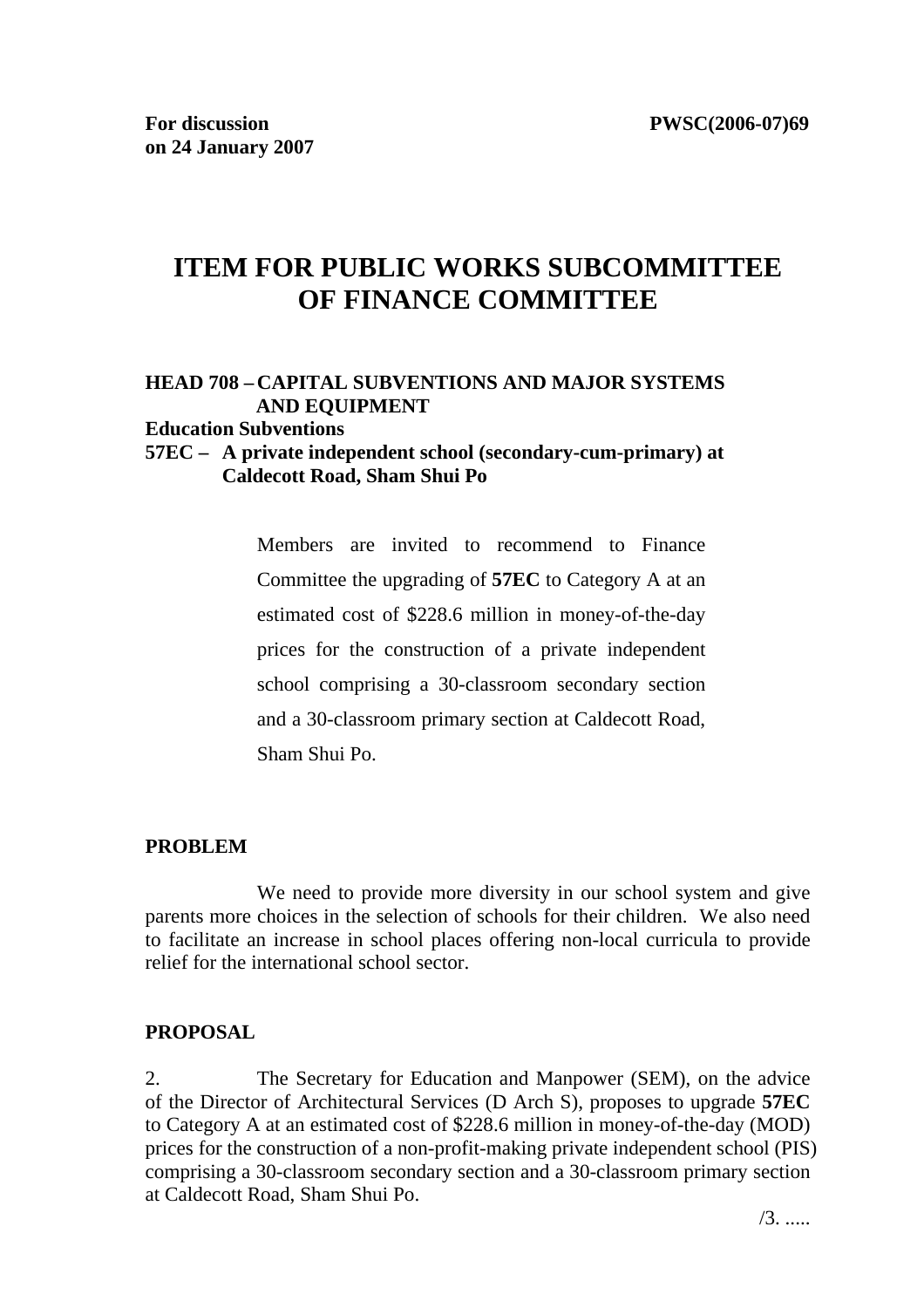# **ITEM FOR PUBLIC WORKS SUBCOMMITTEE OF FINANCE COMMITTEE**

# **HEAD 708 – CAPITAL SUBVENTIONS AND MAJOR SYSTEMS AND EQUIPMENT**

#### **Education Subventions**

#### **57EC – A private independent school (secondary-cum-primary) at Caldecott Road, Sham Shui Po**

Members are invited to recommend to Finance Committee the upgrading of **57EC** to Category A at an estimated cost of \$228.6 million in money-of-the-day prices for the construction of a private independent school comprising a 30-classroom secondary section and a 30-classroom primary section at Caldecott Road, Sham Shui Po.

#### **PROBLEM**

We need to provide more diversity in our school system and give parents more choices in the selection of schools for their children. We also need to facilitate an increase in school places offering non-local curricula to provide relief for the international school sector.

#### **PROPOSAL**

2. The Secretary for Education and Manpower (SEM), on the advice of the Director of Architectural Services (D Arch S), proposes to upgrade **57EC** to Category A at an estimated cost of \$228.6 million in money-of-the-day (MOD) prices for the construction of a non-profit-making private independent school (PIS) comprising a 30-classroom secondary section and a 30-classroom primary section at Caldecott Road, Sham Shui Po.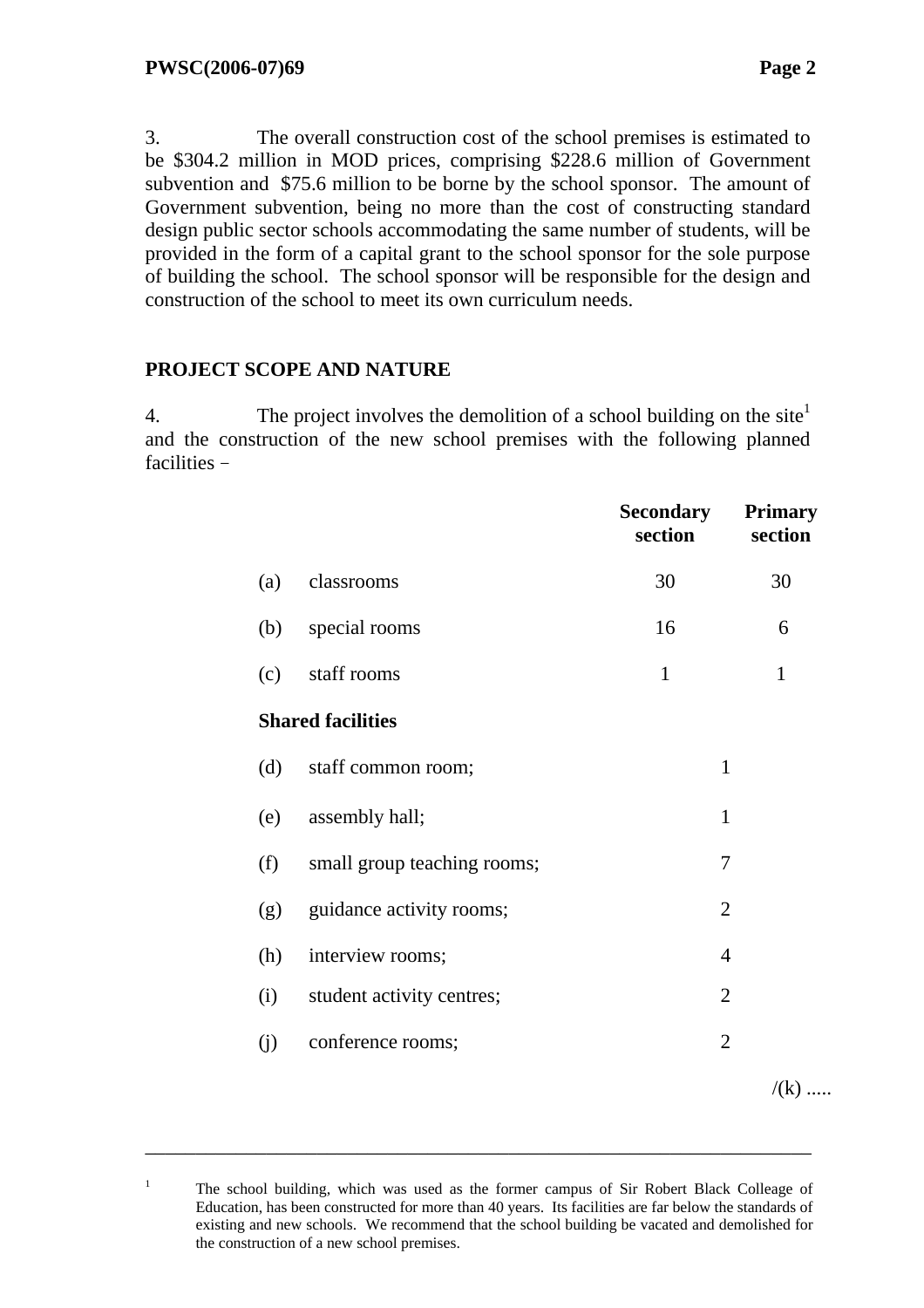1

3. The overall construction cost of the school premises is estimated to be \$304.2 million in MOD prices, comprising \$228.6 million of Government subvention and \$75.6 million to be borne by the school sponsor. The amount of Government subvention, being no more than the cost of constructing standard design public sector schools accommodating the same number of students, will be provided in the form of a capital grant to the school sponsor for the sole purpose of building the school. The school sponsor will be responsible for the design and construction of the school to meet its own curriculum needs.

#### **PROJECT SCOPE AND NATURE**

4. The project involves the demolition of a school building on the site  $\mathbf{I}$ and the construction of the new school premises with the following planned facilities –

|     |                             | <b>Secondary</b><br>section | <b>Primary</b><br>section |
|-----|-----------------------------|-----------------------------|---------------------------|
| (a) | classrooms                  | 30                          | 30                        |
| (b) | special rooms               | 16                          | 6                         |
| (c) | staff rooms                 | $\mathbf{1}$                | $\mathbf{1}$              |
|     | <b>Shared facilities</b>    |                             |                           |
| (d) | staff common room;          | $\mathbf{1}$                |                           |
| (e) | assembly hall;              | $\mathbf{1}$                |                           |
| (f) | small group teaching rooms; | 7                           |                           |
| (g) | guidance activity rooms;    | $\overline{2}$              |                           |
| (h) | interview rooms;            | 4                           |                           |
| (i) | student activity centres;   | $\overline{2}$              |                           |
| (j) | conference rooms;           | $\overline{2}$              |                           |
|     |                             |                             | $/(k)$                    |

The school building, which was used as the former campus of Sir Robert Black Colleage of Education, has been constructed for more than 40 years. Its facilities are far below the standards of existing and new schools. We recommend that the school building be vacated and demolished for the construction of a new school premises.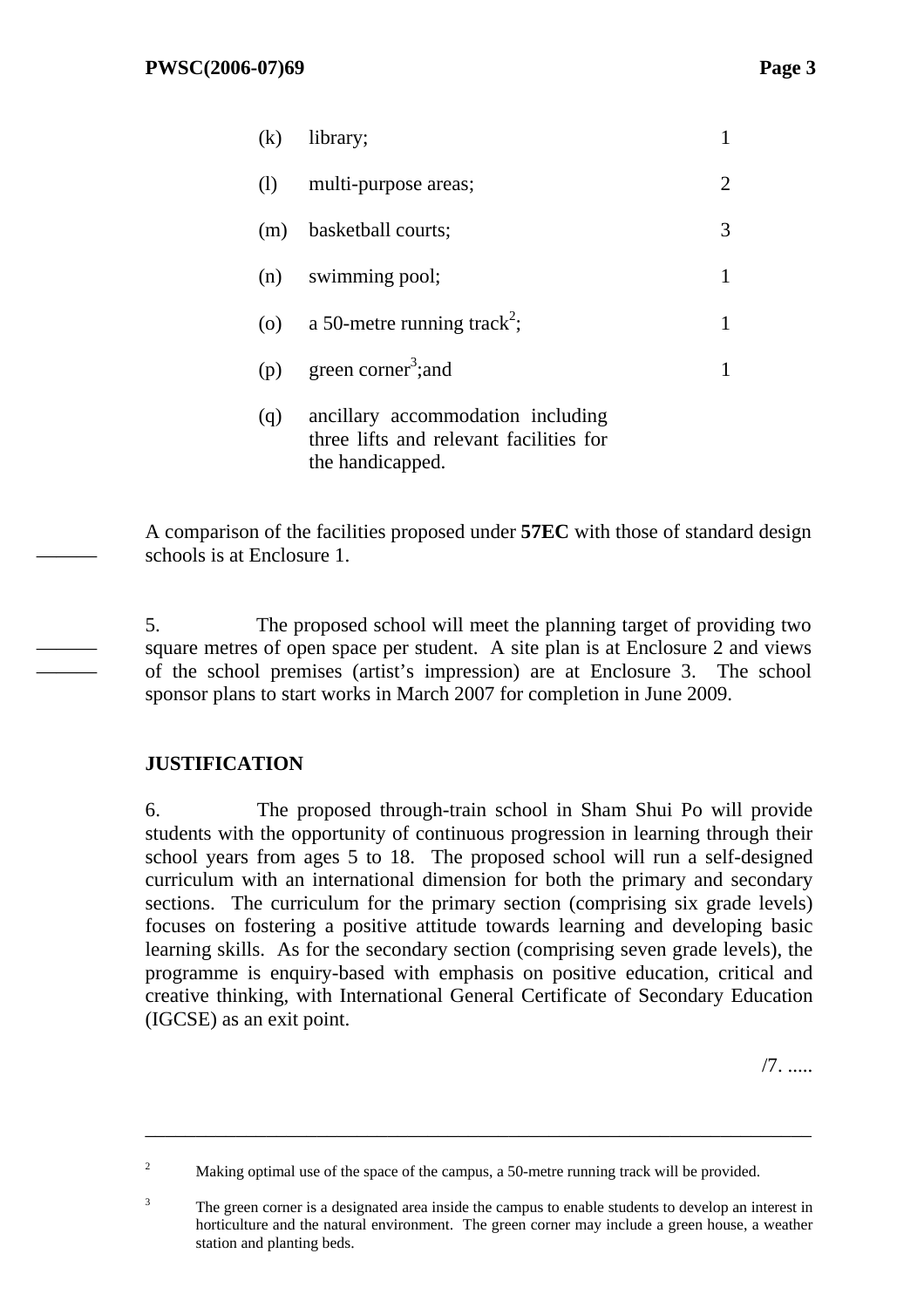| (k) | library;                                    |   |
|-----|---------------------------------------------|---|
| (1) | multi-purpose areas;                        | 2 |
| (m) | basketball courts;                          | 3 |
|     | (n) swimming pool;                          |   |
|     | (o) a 50-metre running track <sup>2</sup> ; |   |
| (p) | green corner <sup>3</sup> ; and             |   |
| (q) | ancillary accommodation including           |   |

three lifts and relevant facilities for the handicapped.

A comparison of the facilities proposed under **57EC** with those of standard design schools is at Enclosure 1.

5. The proposed school will meet the planning target of providing two square metres of open space per student. A site plan is at Enclosure 2 and views of the school premises (artist's impression) are at Enclosure 3. The school sponsor plans to start works in March 2007 for completion in June 2009.

# **JUSTIFICATION**

———

——— ———

> 6.The proposed through-train school in Sham Shui Po will provide students with the opportunity of continuous progression in learning through their school years from ages 5 to 18. The proposed school will run a self-designed curriculum with an international dimension for both the primary and secondary sections. The curriculum for the primary section (comprising six grade levels) focuses on fostering a positive attitude towards learning and developing basic learning skills. As for the secondary section (comprising seven grade levels), the programme is enquiry-based with emphasis on positive education, critical and creative thinking, with International General Certificate of Secondary Education (IGCSE) as an exit point.

> > /7. .....

<sup>2</sup> Making optimal use of the space of the campus, a 50-metre running track will be provided.

<sup>3</sup> The green corner is a designated area inside the campus to enable students to develop an interest in horticulture and the natural environment. The green corner may include a green house, a weather station and planting beds.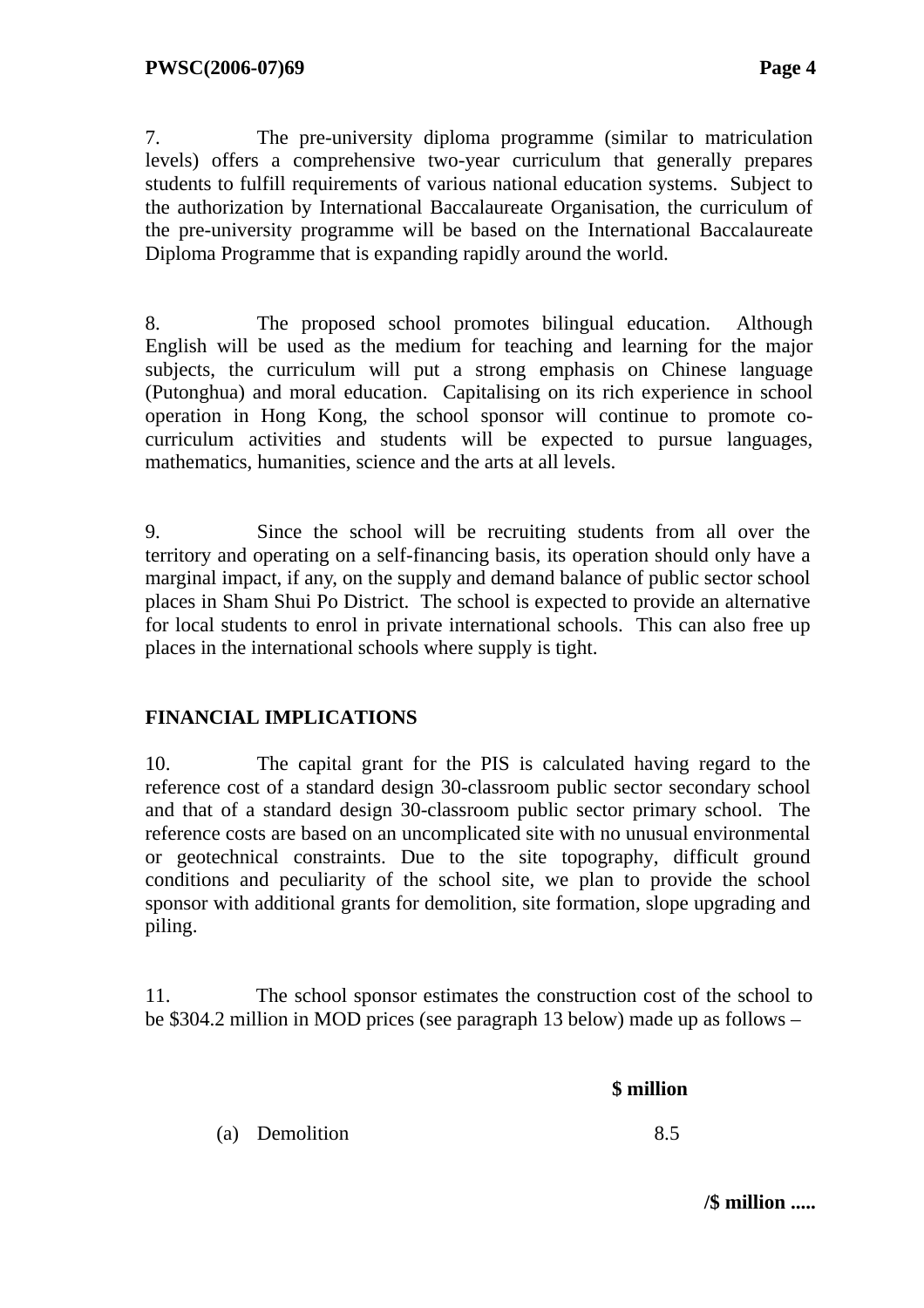7. The pre-university diploma programme (similar to matriculation levels) offers a comprehensive two-year curriculum that generally prepares students to fulfill requirements of various national education systems. Subject to the authorization by International Baccalaureate Organisation, the curriculum of the pre-university programme will be based on the International Baccalaureate Diploma Programme that is expanding rapidly around the world.

8. The proposed school promotes bilingual education. Although English will be used as the medium for teaching and learning for the major subjects, the curriculum will put a strong emphasis on Chinese language (Putonghua) and moral education. Capitalising on its rich experience in school operation in Hong Kong, the school sponsor will continue to promote cocurriculum activities and students will be expected to pursue languages, mathematics, humanities, science and the arts at all levels.

9. Since the school will be recruiting students from all over the territory and operating on a self-financing basis, its operation should only have a marginal impact, if any, on the supply and demand balance of public sector school places in Sham Shui Po District. The school is expected to provide an alternative for local students to enrol in private international schools. This can also free up places in the international schools where supply is tight.

# **FINANCIAL IMPLICATIONS**

10. The capital grant for the PIS is calculated having regard to the reference cost of a standard design 30-classroom public sector secondary school and that of a standard design 30-classroom public sector primary school. The reference costs are based on an uncomplicated site with no unusual environmental or geotechnical constraints. Due to the site topography, difficult ground conditions and peculiarity of the school site, we plan to provide the school sponsor with additional grants for demolition, site formation, slope upgrading and piling.

11. The school sponsor estimates the construction cost of the school to be \$304.2 million in MOD prices (see paragraph 13 below) made up as follows –

| (a) Demolition | 8.5 |
|----------------|-----|

**/\$ million .....**

 **\$ million**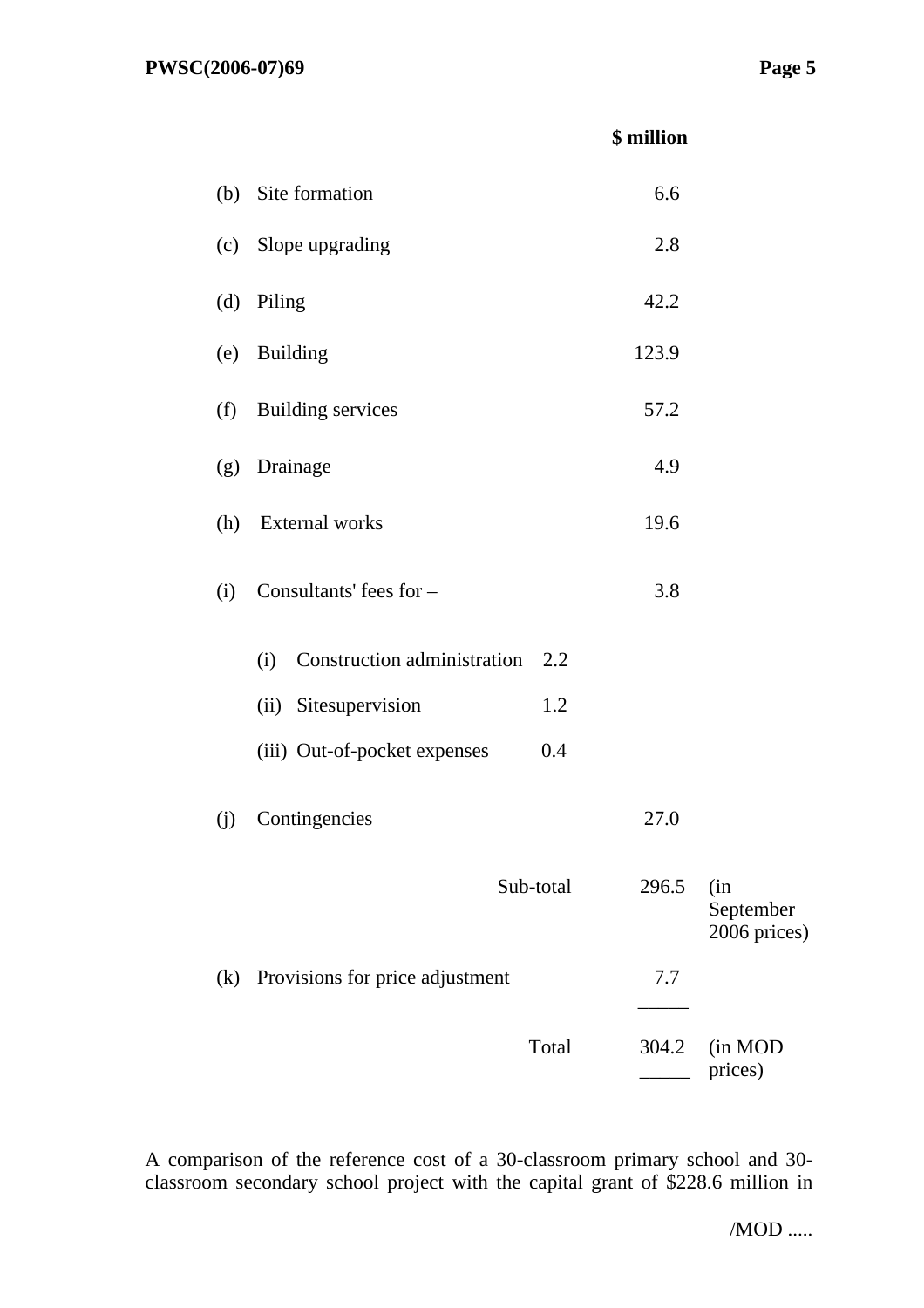|     |                                    | \$ million  |                                  |
|-----|------------------------------------|-------------|----------------------------------|
|     | (b) Site formation                 | 6.6         |                                  |
| (c) | Slope upgrading                    | 2.8         |                                  |
| (d) | Piling                             | 42.2        |                                  |
| (e) | <b>Building</b>                    | 123.9       |                                  |
| (f) | <b>Building services</b>           | 57.2        |                                  |
| (g) | Drainage                           | 4.9         |                                  |
| (h) | External works                     | 19.6        |                                  |
| (i) | Consultants' fees for -            | 3.8         |                                  |
|     | Construction administration<br>(i) | 2.2         |                                  |
|     | (ii) Sitesupervision               | 1.2         |                                  |
|     | (iii) Out-of-pocket expenses       | 0.4         |                                  |
| (j) | Contingencies                      | <b>27.0</b> |                                  |
|     | Sub-total                          | 296.5       | (in<br>September<br>2006 prices) |
| (k) | Provisions for price adjustment    | 7.7         |                                  |
|     | Total                              | 304.2       | (in MOD<br>prices)               |

A comparison of the reference cost of a 30-classroom primary school and 30 classroom secondary school project with the capital grant of \$228.6 million in

/MOD .....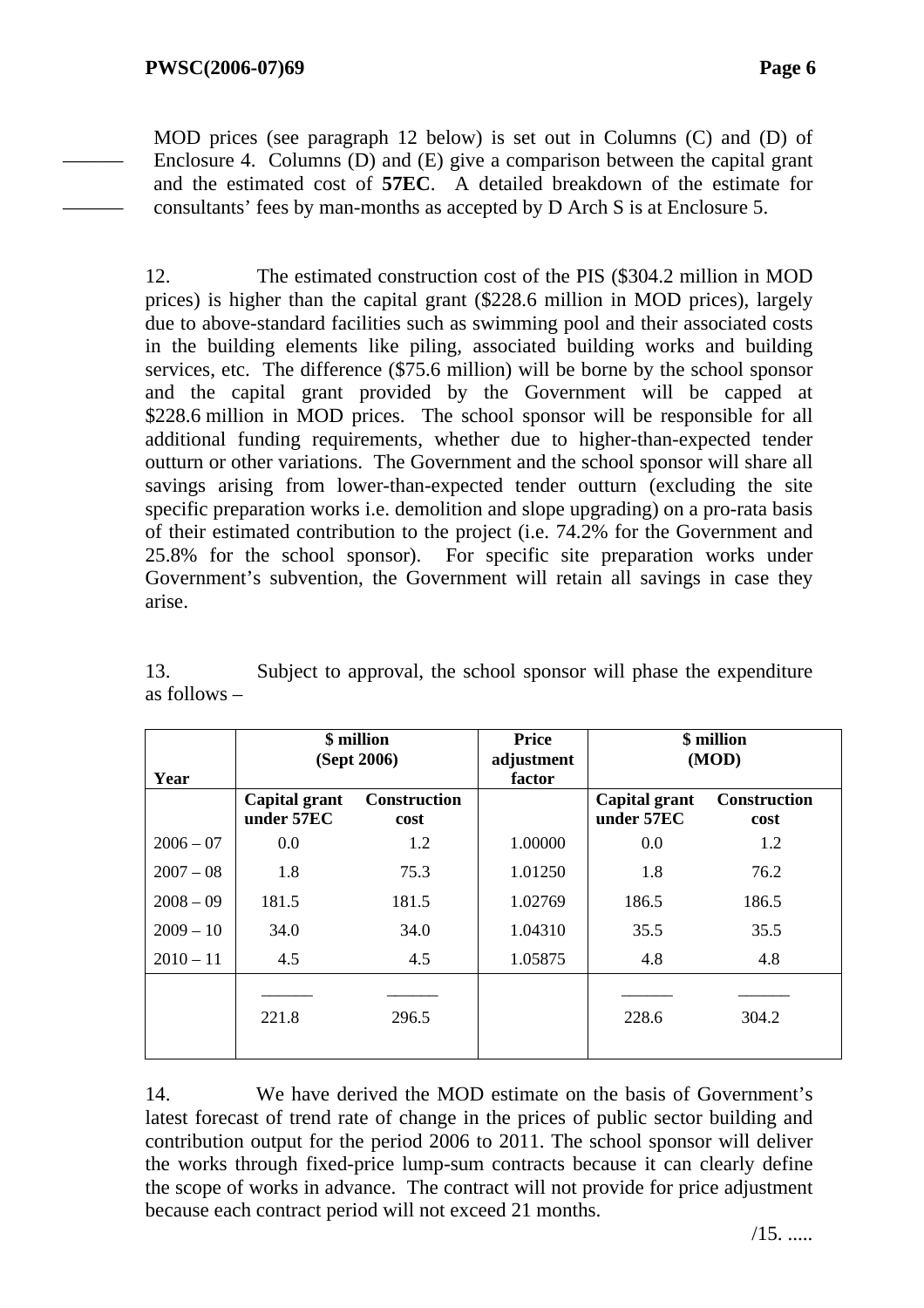———

———

MOD prices (see paragraph 12 below) is set out in Columns (C) and (D) of Enclosure 4. Columns (D) and (E) give a comparison between the capital grant and the estimated cost of **57EC**. A detailed breakdown of the estimate for consultants' fees by man-months as accepted by D Arch S is at Enclosure 5.

12. The estimated construction cost of the PIS (\$304.2 million in MOD prices) is higher than the capital grant (\$228.6 million in MOD prices), largely due to above-standard facilities such as swimming pool and their associated costs in the building elements like piling, associated building works and building services, etc. The difference (\$75.6 million) will be borne by the school sponsor and the capital grant provided by the Government will be capped at \$228.6 million in MOD prices. The school sponsor will be responsible for all additional funding requirements, whether due to higher-than-expected tender outturn or other variations. The Government and the school sponsor will share all savings arising from lower-than-expected tender outturn (excluding the site specific preparation works i.e. demolition and slope upgrading) on a pro-rata basis of their estimated contribution to the project (i.e. 74.2% for the Government and 25.8% for the school sponsor). For specific site preparation works under Government's subvention, the Government will retain all savings in case they arise.

13. Subject to approval, the school sponsor will phase the expenditure as follows –

|             | \$ million<br>(Sept 2006)   |                             | <b>Price</b><br>adjustment | \$ million<br>(MOD)         |                             |
|-------------|-----------------------------|-----------------------------|----------------------------|-----------------------------|-----------------------------|
| Year        |                             |                             | factor                     |                             |                             |
|             | Capital grant<br>under 57EC | <b>Construction</b><br>cost |                            | Capital grant<br>under 57EC | <b>Construction</b><br>cost |
| $2006 - 07$ | 0.0                         | 1.2                         | 1.00000                    | 0.0                         | 1.2                         |
| $2007 - 08$ | 1.8                         | 75.3                        | 1.01250                    | 1.8                         | 76.2                        |
| $2008 - 09$ | 181.5                       | 181.5                       | 1.02769                    | 186.5                       | 186.5                       |
| $2009 - 10$ | 34.0                        | 34.0                        | 1.04310                    | 35.5                        | 35.5                        |
| $2010 - 11$ | 4.5                         | 4.5                         | 1.05875                    | 4.8                         | 4.8                         |
|             | 221.8                       | 296.5                       |                            | 228.6                       | 304.2                       |

14. We have derived the MOD estimate on the basis of Government's latest forecast of trend rate of change in the prices of public sector building and contribution output for the period 2006 to 2011. The school sponsor will deliver the works through fixed-price lump-sum contracts because it can clearly define the scope of works in advance. The contract will not provide for price adjustment because each contract period will not exceed 21 months.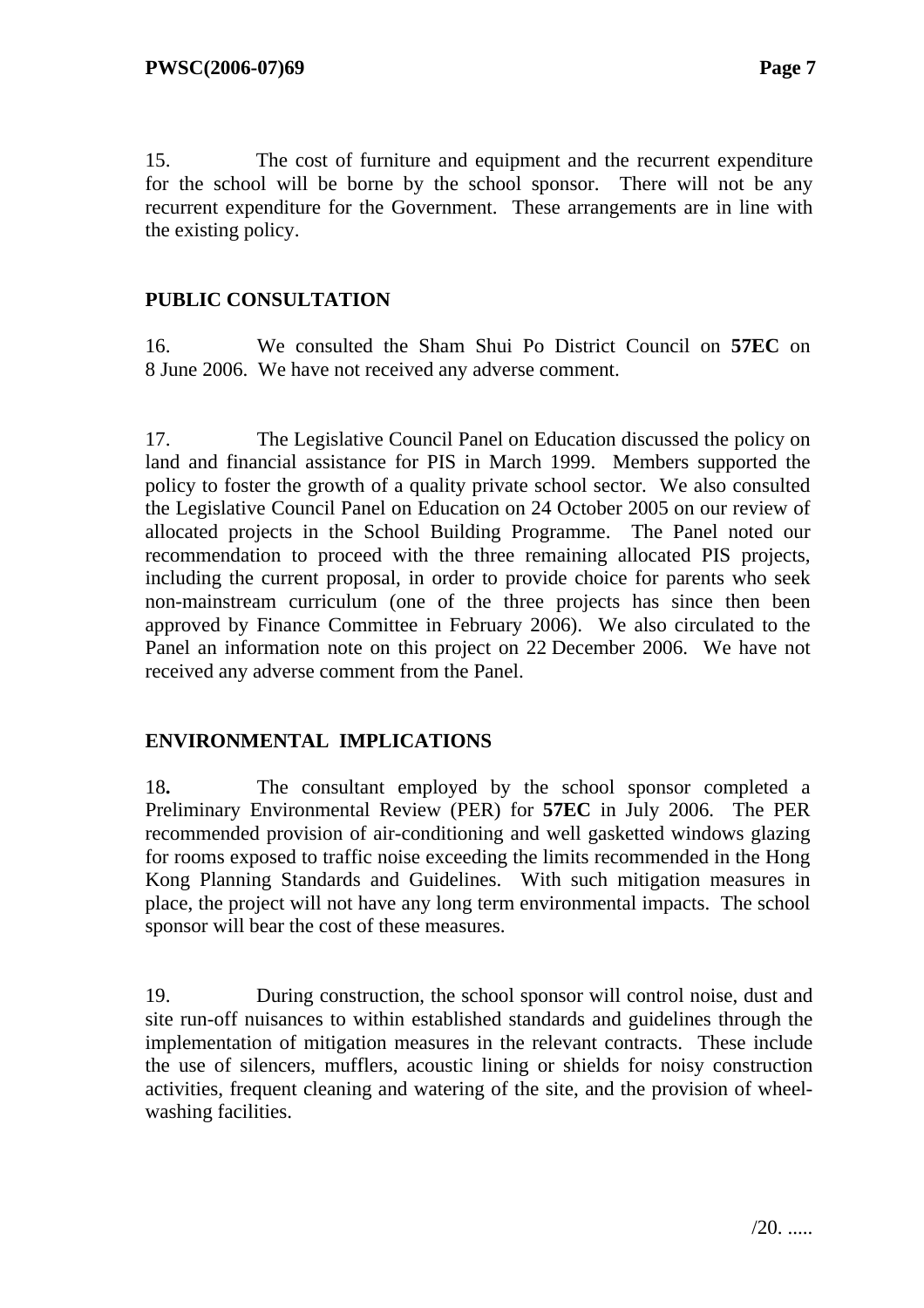15. The cost of furniture and equipment and the recurrent expenditure for the school will be borne by the school sponsor. There will not be any recurrent expenditure for the Government. These arrangements are in line with the existing policy.

## **PUBLIC CONSULTATION**

16. We consulted the Sham Shui Po District Council on **57EC** on 8 June 2006. We have not received any adverse comment.

17. The Legislative Council Panel on Education discussed the policy on land and financial assistance for PIS in March 1999. Members supported the policy to foster the growth of a quality private school sector. We also consulted the Legislative Council Panel on Education on 24 October 2005 on our review of allocated projects in the School Building Programme. The Panel noted our recommendation to proceed with the three remaining allocated PIS projects, including the current proposal, in order to provide choice for parents who seek non-mainstream curriculum (one of the three projects has since then been approved by Finance Committee in February 2006). We also circulated to the Panel an information note on this project on 22 December 2006. We have not received any adverse comment from the Panel.

#### **ENVIRONMENTAL IMPLICATIONS**

18**.** The consultant employed by the school sponsor completed a Preliminary Environmental Review (PER) for **57EC** in July 2006. The PER recommended provision of air-conditioning and well gasketted windows glazing for rooms exposed to traffic noise exceeding the limits recommended in the Hong Kong Planning Standards and Guidelines. With such mitigation measures in place, the project will not have any long term environmental impacts. The school sponsor will bear the cost of these measures.

19. During construction, the school sponsor will control noise, dust and site run-off nuisances to within established standards and guidelines through the implementation of mitigation measures in the relevant contracts. These include the use of silencers, mufflers, acoustic lining or shields for noisy construction activities, frequent cleaning and watering of the site, and the provision of wheelwashing facilities.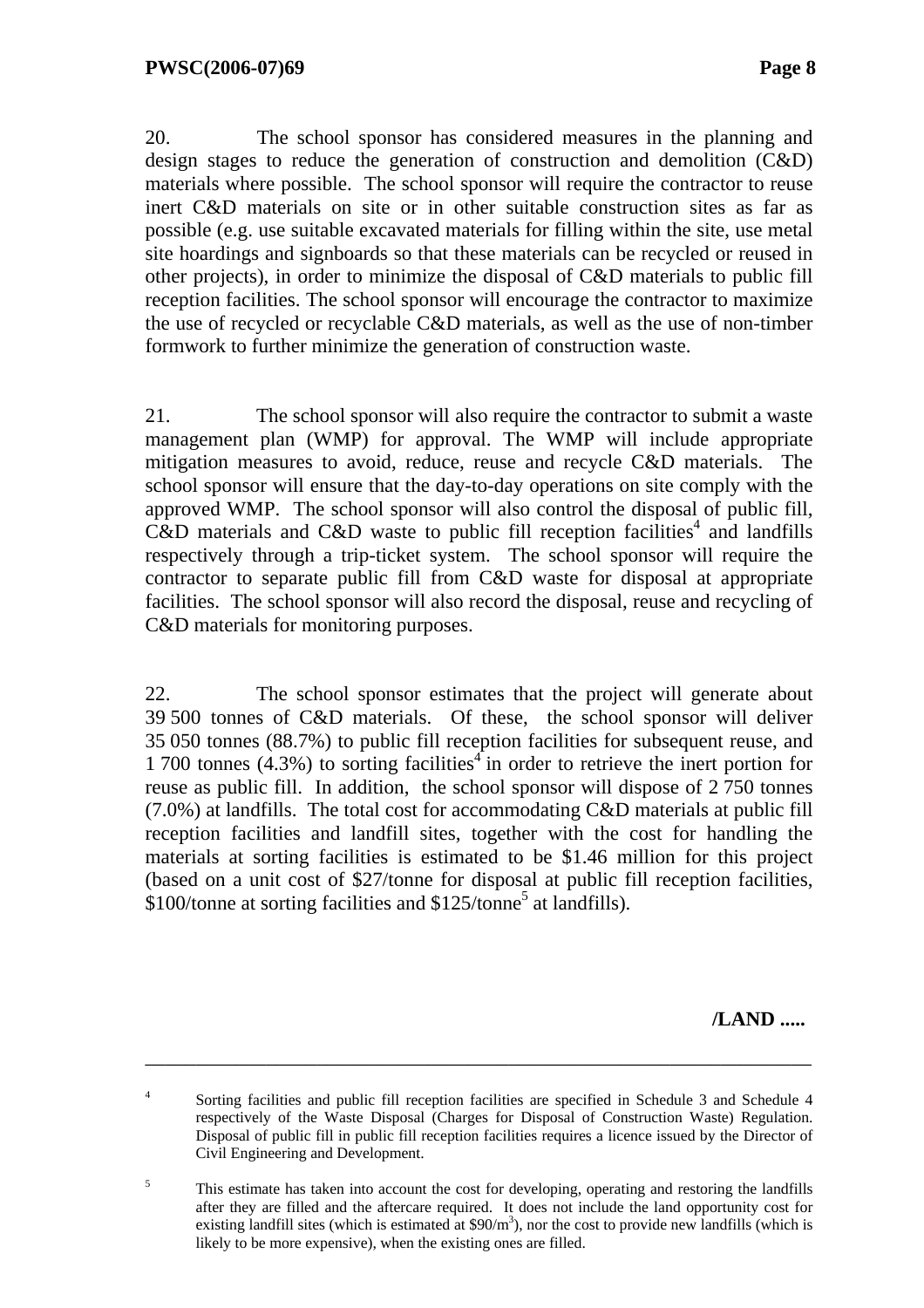20. The school sponsor has considered measures in the planning and design stages to reduce the generation of construction and demolition (C&D) materials where possible. The school sponsor will require the contractor to reuse inert C&D materials on site or in other suitable construction sites as far as possible (e.g. use suitable excavated materials for filling within the site, use metal site hoardings and signboards so that these materials can be recycled or reused in other projects), in order to minimize the disposal of C&D materials to public fill reception facilities. The school sponsor will encourage the contractor to maximize the use of recycled or recyclable C&D materials, as well as the use of non-timber formwork to further minimize the generation of construction waste.

21. The school sponsor will also require the contractor to submit a waste management plan (WMP) for approval. The WMP will include appropriate mitigation measures to avoid, reduce, reuse and recycle C&D materials. The school sponsor will ensure that the day-to-day operations on site comply with the approved WMP. The school sponsor will also control the disposal of public fill,  $\hat{C}$ &D materials and  $\hat{C}$ &D waste to public fill reception facilities<sup>4</sup> and landfills respectively through a trip-ticket system. The school sponsor will require the contractor to separate public fill from C&D waste for disposal at appropriate facilities. The school sponsor will also record the disposal, reuse and recycling of C&D materials for monitoring purposes.

22. The school sponsor estimates that the project will generate about 39 500 tonnes of C&D materials. Of these, the school sponsor will deliver 35 050 tonnes (88.7%) to public fill reception facilities for subsequent reuse, and 1 700 tonnes  $(4.3\%)$  to sorting facilities<sup>4</sup> in order to retrieve the inert portion for reuse as public fill. In addition, the school sponsor will dispose of 2 750 tonnes (7.0%) at landfills. The total cost for accommodating C&D materials at public fill reception facilities and landfill sites, together with the cost for handling the materials at sorting facilities is estimated to be \$1.46 million for this project (based on a unit cost of \$27/tonne for disposal at public fill reception facilities, \$100/tonne at sorting facilities and \$125/tonne<sup>5</sup> at landfills).

**/LAND .....** 

<sup>4</sup> Sorting facilities and public fill reception facilities are specified in Schedule 3 and Schedule 4 respectively of the Waste Disposal (Charges for Disposal of Construction Waste) Regulation. Disposal of public fill in public fill reception facilities requires a licence issued by the Director of Civil Engineering and Development.

<sup>5</sup> This estimate has taken into account the cost for developing, operating and restoring the landfills after they are filled and the aftercare required. It does not include the land opportunity cost for existing landfill sites (which is estimated at  $$90/m^3$ ), nor the cost to provide new landfills (which is likely to be more expensive), when the existing ones are filled.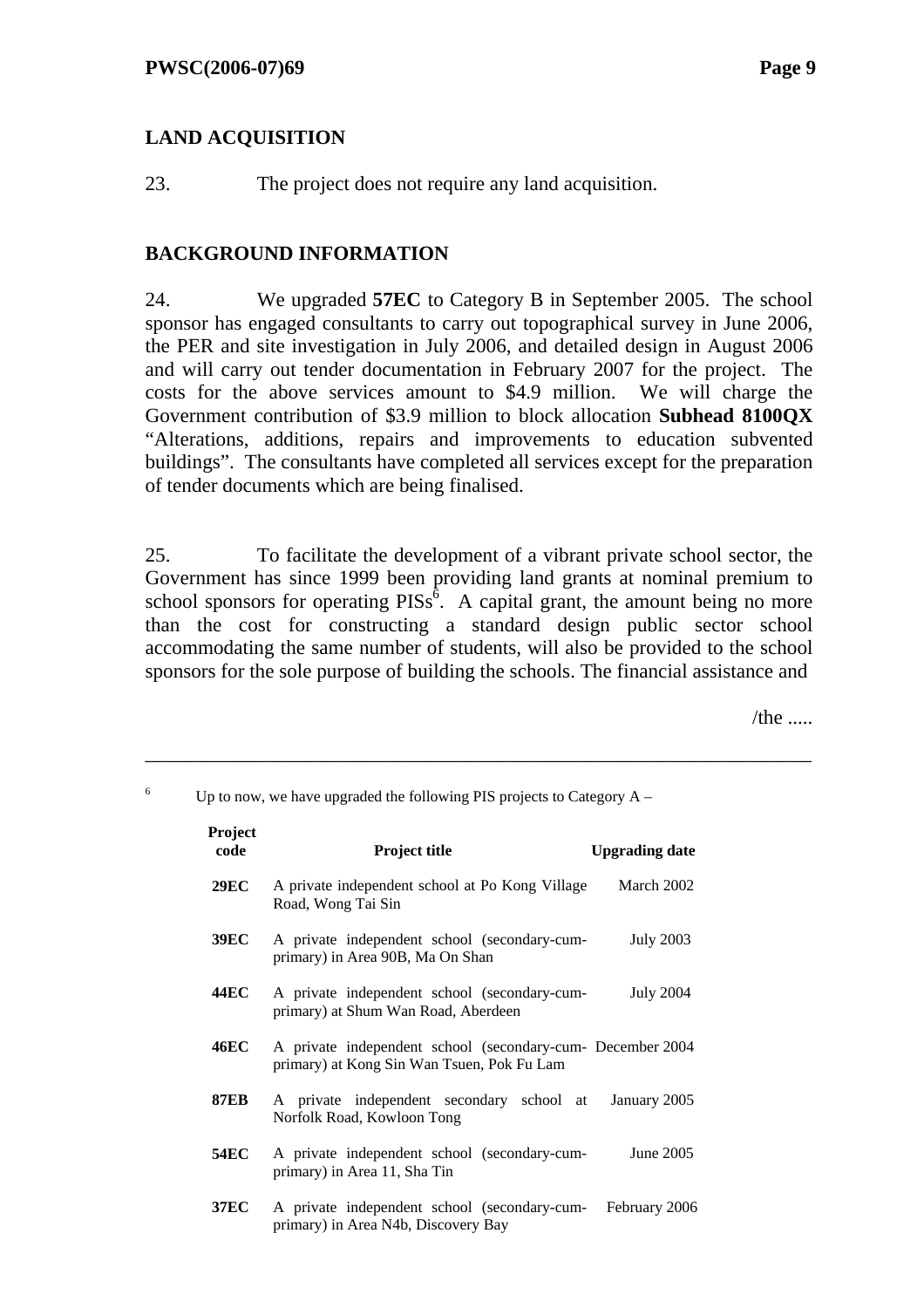6

# **LAND ACQUISITION**

23. The project does not require any land acquisition.

#### **BACKGROUND INFORMATION**

24. We upgraded **57EC** to Category B in September 2005. The school sponsor has engaged consultants to carry out topographical survey in June 2006, the PER and site investigation in July 2006, and detailed design in August 2006 and will carry out tender documentation in February 2007 for the project. The costs for the above services amount to \$4.9 million. We will charge the Government contribution of \$3.9 million to block allocation **Subhead 8100QX** "Alterations, additions, repairs and improvements to education subvented buildings". The consultants have completed all services except for the preparation of tender documents which are being finalised.

25. To facilitate the development of a vibrant private school sector, the Government has since 1999 been providing land grants at nominal premium to school sponsors for operating  $PISS^6$ . A capital grant, the amount being no more than the cost for constructing a standard design public sector school accommodating the same number of students, will also be provided to the school sponsors for the sole purpose of building the schools. The financial assistance and

\_\_\_\_\_\_\_\_\_\_\_\_\_\_\_\_\_\_\_\_\_\_\_\_\_\_\_\_\_\_\_\_\_\_\_\_\_\_\_\_\_\_\_\_\_\_\_\_\_\_\_\_\_\_\_\_\_\_\_\_\_\_\_\_\_\_

/the  $\ldots$ .

| Project<br>code | <b>Project title</b>                                                                                     | <b>Upgrading date</b> |
|-----------------|----------------------------------------------------------------------------------------------------------|-----------------------|
| <b>29EC</b>     | A private independent school at Po Kong Village<br>Road, Wong Tai Sin                                    | March 2002            |
| <b>39EC</b>     | A private independent school (secondary-cum-<br>primary) in Area 90B, Ma On Shan                         | <b>July 2003</b>      |
| 44EC            | A private independent school (secondary-cum-<br>primary) at Shum Wan Road, Aberdeen                      | <b>July 2004</b>      |
| <b>46EC</b>     | A private independent school (secondary-cum- December 2004<br>primary) at Kong Sin Wan Tsuen, Pok Fu Lam |                       |
| <b>87EB</b>     | A private independent secondary school at<br>Norfolk Road, Kowloon Tong                                  | January 2005          |
| <b>54EC</b>     | A private independent school (secondary-cum-<br>primary) in Area 11, Sha Tin                             | June 2005             |
| <b>37EC</b>     | A private independent school (secondary-cum-<br>primary) in Area N4b, Discovery Bay                      | February 2006         |

Up to now, we have upgraded the following PIS projects to Category  $A -$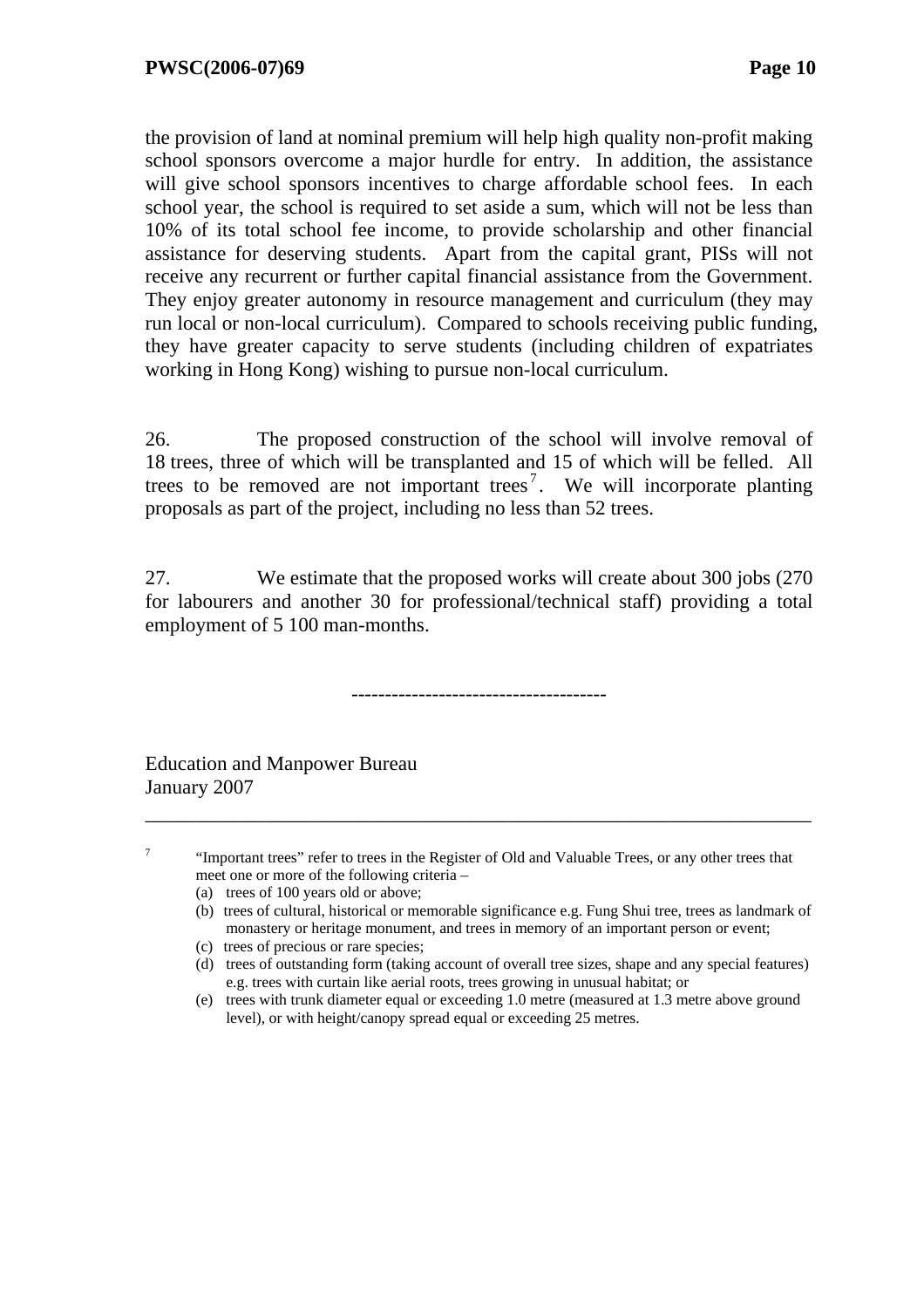the provision of land at nominal premium will help high quality non-profit making school sponsors overcome a major hurdle for entry. In addition, the assistance will give school sponsors incentives to charge affordable school fees. In each school year, the school is required to set aside a sum, which will not be less than 10% of its total school fee income, to provide scholarship and other financial assistance for deserving students. Apart from the capital grant, PISs will not receive any recurrent or further capital financial assistance from the Government. They enjoy greater autonomy in resource management and curriculum (they may run local or non-local curriculum). Compared to schools receiving public funding, they have greater capacity to serve students (including children of expatriates working in Hong Kong) wishing to pursue non-local curriculum.

26. The proposed construction of the school will involve removal of 18 trees, three of which will be transplanted and 15 of which will be felled. All trees to be removed are not important trees<sup>7</sup>. We will incorporate planting proposals as part of the project, including no less than 52 trees.

27. We estimate that the proposed works will create about 300 jobs (270 for labourers and another 30 for professional/technical staff) providing a total employment of 5 100 man-months.

--------------------------------------

Education and Manpower Bureau January 2007

7

 "Important trees" refer to trees in the Register of Old and Valuable Trees, or any other trees that meet one or more of the following criteria –

- (a) trees of 100 years old or above;
- (b) trees of cultural, historical or memorable significance e.g. Fung Shui tree, trees as landmark of monastery or heritage monument, and trees in memory of an important person or event;
- (c) trees of precious or rare species;
- (d) trees of outstanding form (taking account of overall tree sizes, shape and any special features) e.g. trees with curtain like aerial roots, trees growing in unusual habitat; or
- (e) trees with trunk diameter equal or exceeding 1.0 metre (measured at 1.3 metre above ground level), or with height/canopy spread equal or exceeding 25 metres.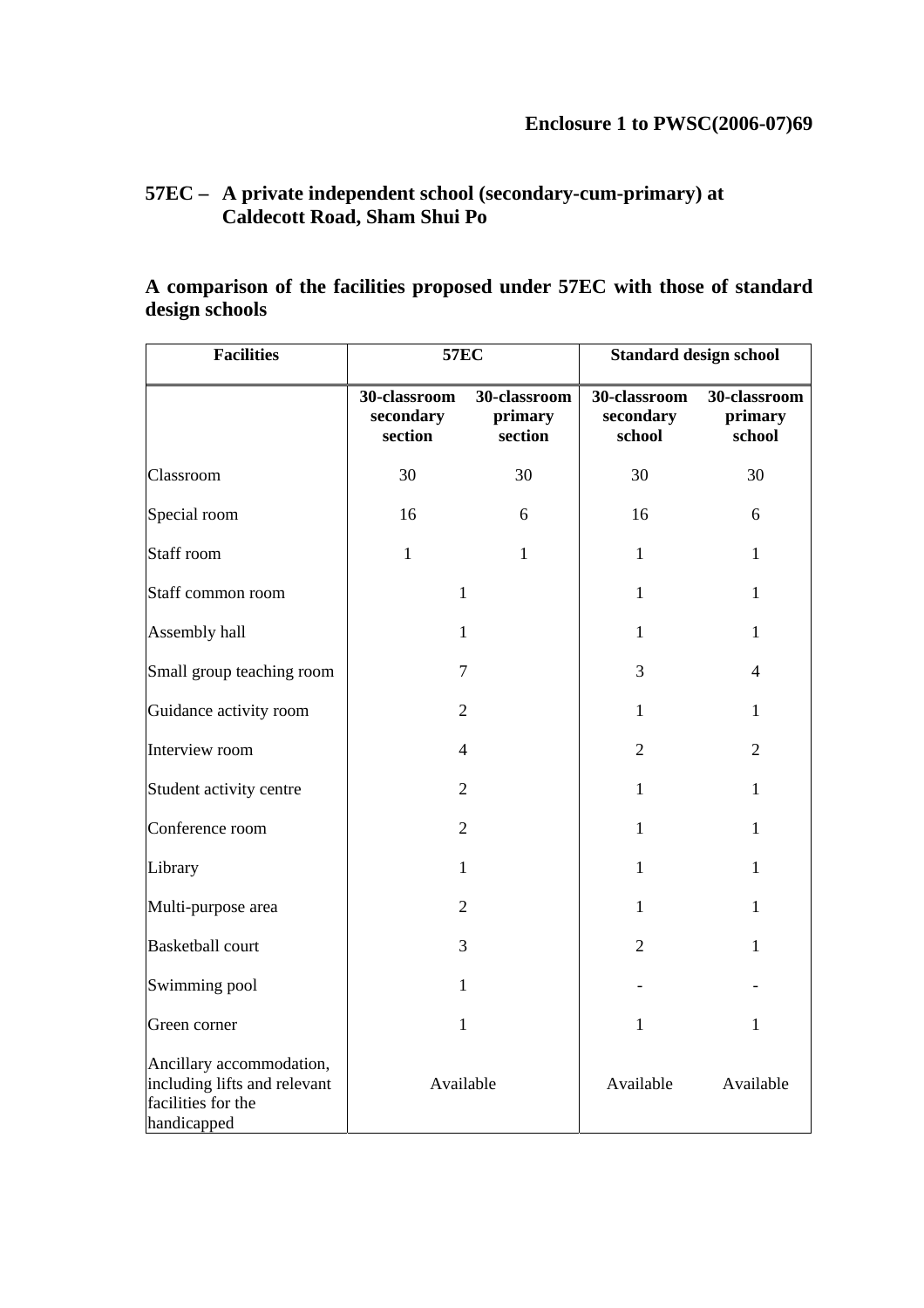# **57EC – A private independent school (secondary-cum-primary) at Caldecott Road, Sham Shui Po**

# **A comparison of the facilities proposed under 57EC with those of standard design schools**

| <b>Facilities</b>                                                                             | <b>57EC</b>                          |                                    | <b>Standard design school</b>       |                                   |  |
|-----------------------------------------------------------------------------------------------|--------------------------------------|------------------------------------|-------------------------------------|-----------------------------------|--|
|                                                                                               | 30-classroom<br>secondary<br>section | 30-classroom<br>primary<br>section | 30-classroom<br>secondary<br>school | 30-classroom<br>primary<br>school |  |
| Classroom                                                                                     | 30                                   | 30                                 | 30                                  | 30                                |  |
| Special room                                                                                  | 16                                   | 6                                  | 16                                  | 6                                 |  |
| Staff room                                                                                    | $\mathbf{1}$                         | $\mathbf{1}$                       | $\mathbf{1}$                        | $\mathbf{1}$                      |  |
| Staff common room                                                                             | $\mathbf{1}$                         |                                    | $\mathbf{1}$                        | $\mathbf{1}$                      |  |
| Assembly hall                                                                                 | 1                                    |                                    | $\mathbf{1}$                        | $\mathbf{1}$                      |  |
| Small group teaching room                                                                     | 7                                    |                                    | 3                                   | $\overline{4}$                    |  |
| Guidance activity room                                                                        | $\overline{2}$                       |                                    | $\mathbf{1}$                        | 1                                 |  |
| Interview room                                                                                |                                      | 4                                  |                                     | $\overline{2}$                    |  |
| Student activity centre                                                                       | $\overline{2}$                       |                                    | 1                                   | 1                                 |  |
| Conference room                                                                               | $\overline{2}$                       |                                    | $\mathbf{1}$                        | 1                                 |  |
| Library                                                                                       | $\mathbf{1}$                         |                                    | $\mathbf{1}$                        | $\mathbf{1}$                      |  |
| Multi-purpose area                                                                            | $\overline{2}$                       |                                    | $\mathbf{1}$                        | $\mathbf{1}$                      |  |
| <b>Basketball court</b>                                                                       | 3                                    |                                    | $\overline{2}$                      | $\mathbf{1}$                      |  |
| Swimming pool                                                                                 | $\mathbf{1}$                         |                                    |                                     |                                   |  |
| Green corner                                                                                  | $\mathbf{1}$                         |                                    | $\mathbf{1}$                        | $\mathbf{1}$                      |  |
| Ancillary accommodation,<br>including lifts and relevant<br>facilities for the<br>handicapped | Available                            |                                    | Available                           | Available                         |  |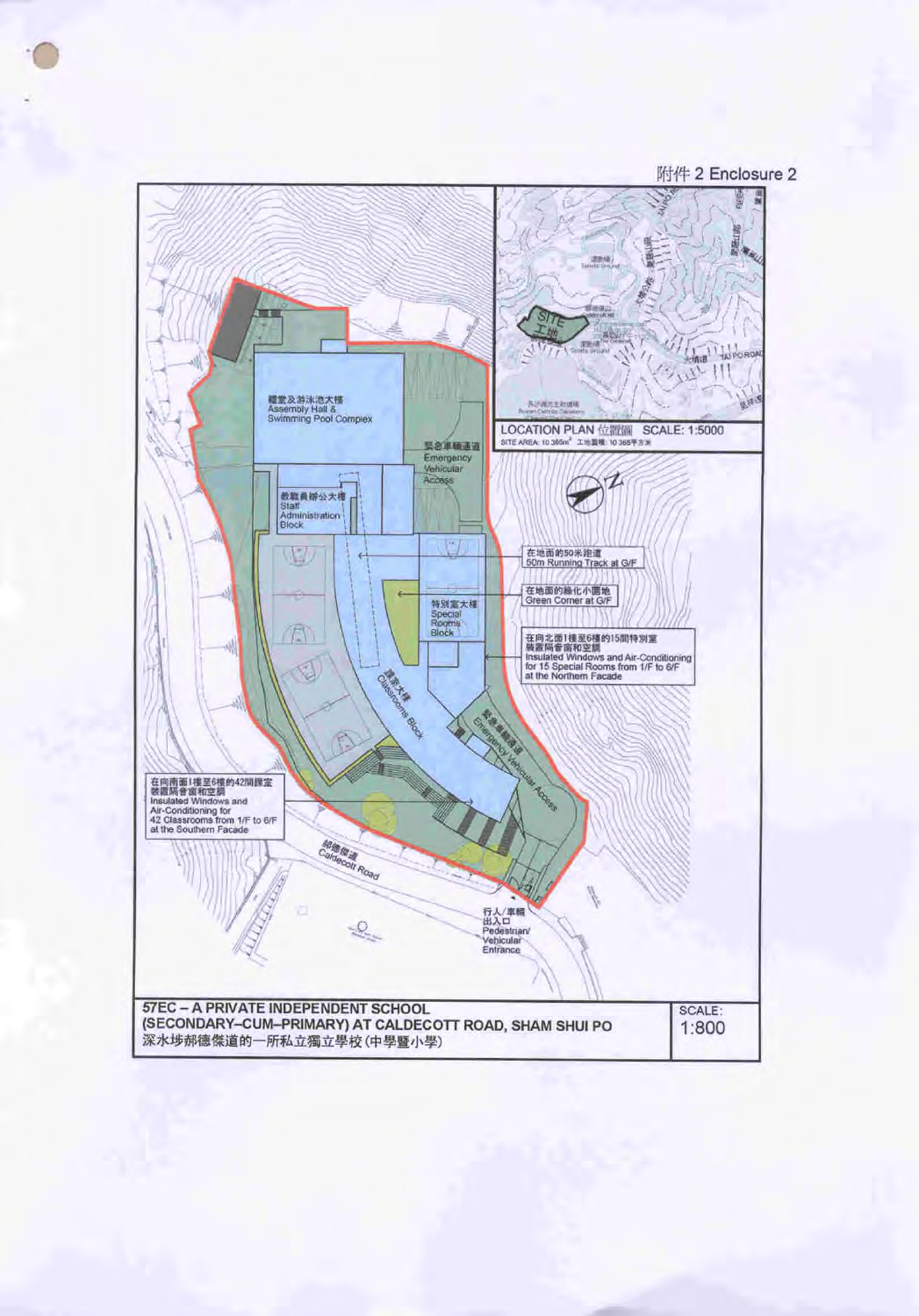

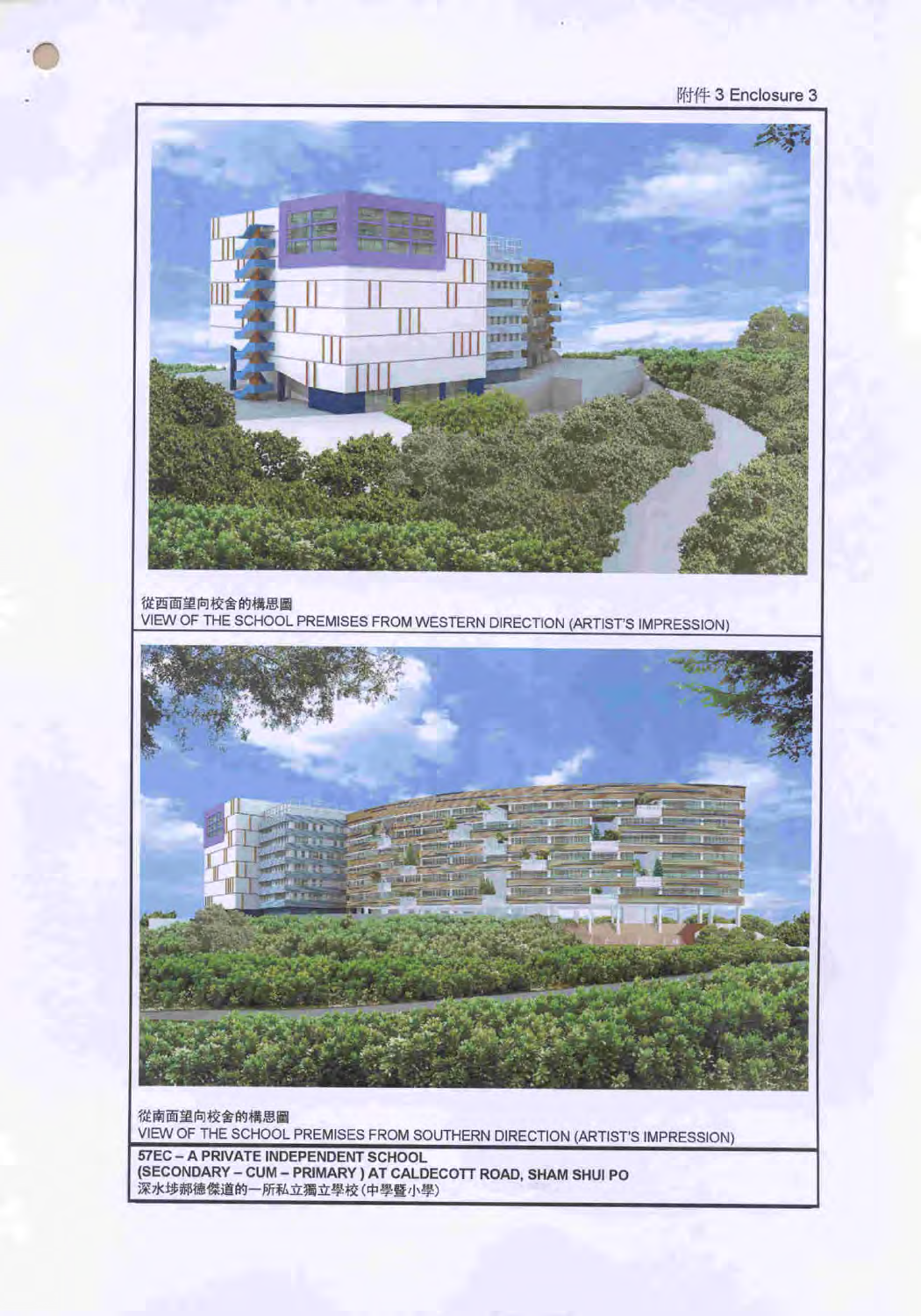VIEW OF THE SCHOOL PREMISES FROM SOUTHERN DIRECTION (ARTIST'S IMPRESSION) 57EC - A PRIVATE INDEPENDENT SCHOOL (SECONDARY - CUM - PRIMARY ) AT CALDECOTT ROAD, SHAM SHUI PO 深水埗郝德傑道的一所私立獨立學校(中學暨小學)

從南面望向校舍的構思圖

**ULTIM A STATE** min milit

從西面望向校舍的構思圖 VIEW OF THE SCHOOL PREMISES FROM WESTERN DIRECTION (ARTIST'S IMPRESSION)

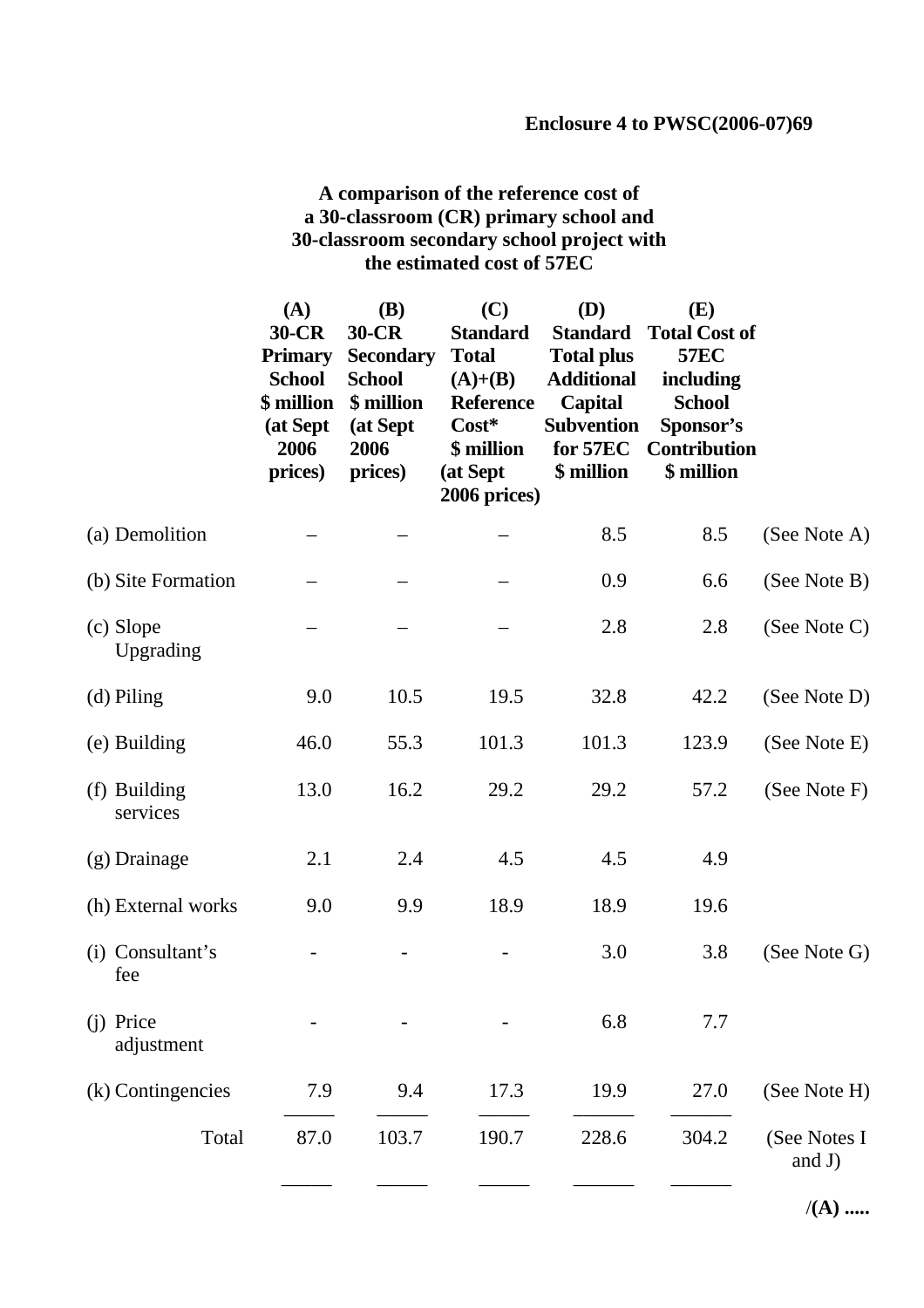# **A comparison of the reference cost of a 30-classroom (CR) primary school and 30-classroom secondary school project with the estimated cost of 57EC**

|                          | (A)<br>30-CR<br><b>Primary</b><br><b>School</b><br>\$ million<br>(at Sept<br>2006<br>prices) | <b>(B)</b><br>30-CR<br><b>Secondary</b><br><b>School</b><br>\$ million<br>(at Sept<br>2006<br>prices) | (C)<br><b>Standard</b><br><b>Total</b><br>$(A)+(B)$<br><b>Reference</b><br>$Cost*$<br>\$ million<br>(at Sept<br>2006 prices) | (D)<br><b>Standard</b><br><b>Total plus</b><br><b>Additional</b><br>Capital<br><b>Subvention</b><br>for 57EC<br>\$ million | (E)<br><b>Total Cost of</b><br><b>57EC</b><br>including<br><b>School</b><br>Sponsor's<br><b>Contribution</b><br>\$ million |                           |
|--------------------------|----------------------------------------------------------------------------------------------|-------------------------------------------------------------------------------------------------------|------------------------------------------------------------------------------------------------------------------------------|----------------------------------------------------------------------------------------------------------------------------|----------------------------------------------------------------------------------------------------------------------------|---------------------------|
| (a) Demolition           |                                                                                              |                                                                                                       |                                                                                                                              | 8.5                                                                                                                        | 8.5                                                                                                                        | (See Note A)              |
| (b) Site Formation       |                                                                                              |                                                                                                       |                                                                                                                              | 0.9                                                                                                                        | 6.6                                                                                                                        | (See Note B)              |
| (c) Slope<br>Upgrading   |                                                                                              |                                                                                                       |                                                                                                                              | 2.8                                                                                                                        | 2.8                                                                                                                        | (See Note C)              |
| (d) Piling               | 9.0                                                                                          | 10.5                                                                                                  | 19.5                                                                                                                         | 32.8                                                                                                                       | 42.2                                                                                                                       | (See Note D)              |
| (e) Building             | 46.0                                                                                         | 55.3                                                                                                  | 101.3                                                                                                                        | 101.3                                                                                                                      | 123.9                                                                                                                      | (See Note E)              |
| (f) Building<br>services | 13.0                                                                                         | 16.2                                                                                                  | 29.2                                                                                                                         | 29.2                                                                                                                       | 57.2                                                                                                                       | (See Note F)              |
| $(g)$ Drainage           | 2.1                                                                                          | 2.4                                                                                                   | 4.5                                                                                                                          | 4.5                                                                                                                        | 4.9                                                                                                                        |                           |
| (h) External works       | 9.0                                                                                          | 9.9                                                                                                   | 18.9                                                                                                                         | 18.9                                                                                                                       | 19.6                                                                                                                       |                           |
| (i) Consultant's<br>fee  |                                                                                              |                                                                                                       |                                                                                                                              | 3.0                                                                                                                        | 3.8                                                                                                                        | (See Note G)              |
| (j) Price<br>adjustment  |                                                                                              |                                                                                                       |                                                                                                                              | 6.8                                                                                                                        | 7.7                                                                                                                        |                           |
| (k) Contingencies        | 7.9                                                                                          | 9.4                                                                                                   | 17.3                                                                                                                         | 19.9                                                                                                                       | 27.0                                                                                                                       | (See Note H)              |
| Total                    | 87.0                                                                                         | 103.7                                                                                                 | 190.7                                                                                                                        | 228.6                                                                                                                      | 304.2                                                                                                                      | (See Notes I<br>and $J$ ) |
|                          |                                                                                              |                                                                                                       |                                                                                                                              |                                                                                                                            |                                                                                                                            |                           |

/**(A) .....**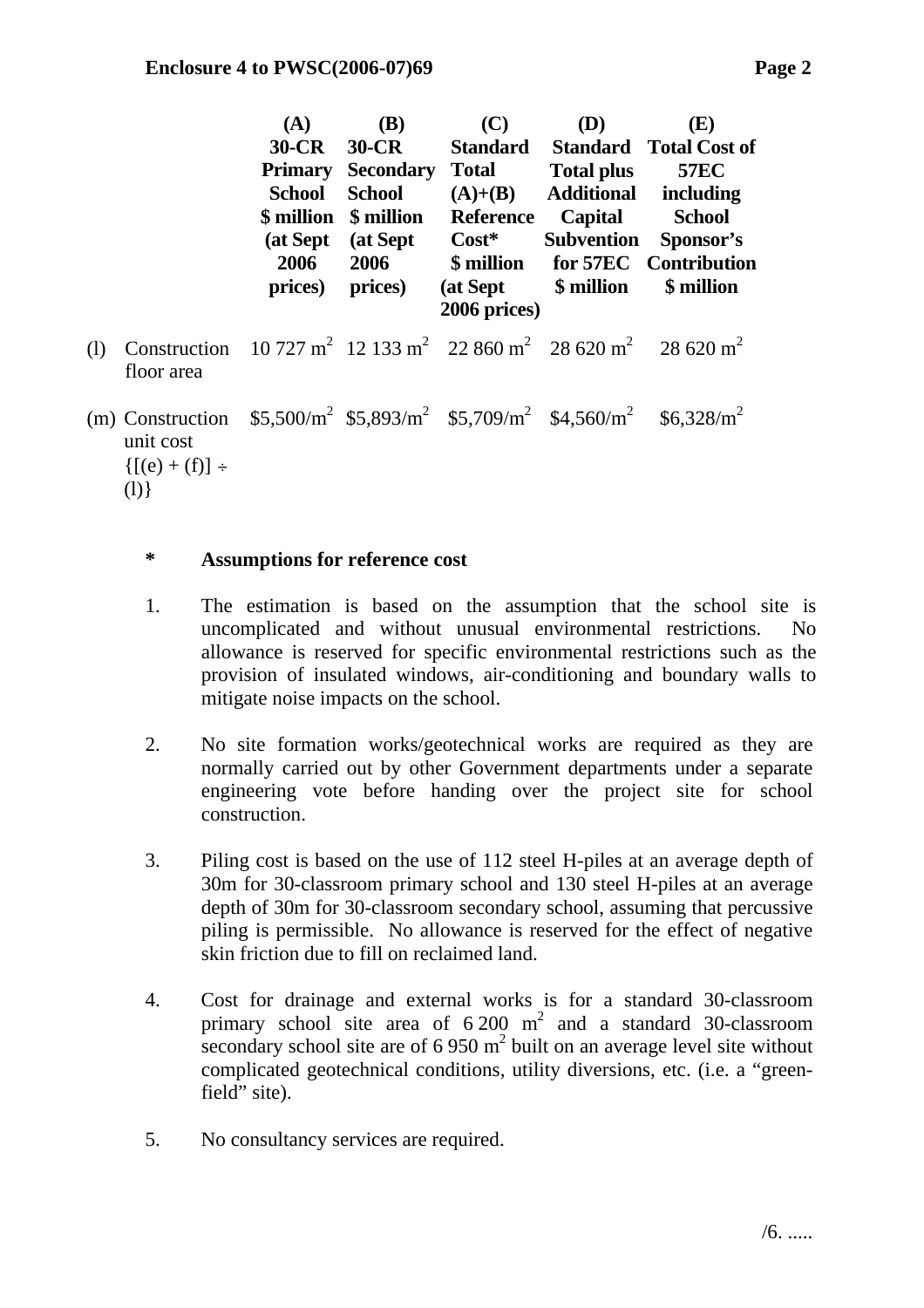|     |                                                                                                                                          | <b>(A)</b><br>$30-CR$<br><b>Primary</b><br><b>School</b><br>2006<br>prices) | <b>(B)</b><br>$30$ -CR<br><b>Secondary</b><br><b>School</b><br>\$ million \$ million<br>(at Sept (at Sept)<br>2006<br>prices) | (C)<br><b>Total</b><br>$(A)+(B)$<br><b>Reference</b><br>$\text{Cost}^*$<br>(at Sept \$ million<br>2006 prices) | <b>(D)</b><br>Total plus<br><b>Additional</b><br>Capital | (E)<br><b>Standard</b> Standard Total Cost of<br><b>57EC</b><br>including<br><b>School</b><br>Subvention Sponsor's<br>\$ million for 57EC Contribution<br>\$ million |
|-----|------------------------------------------------------------------------------------------------------------------------------------------|-----------------------------------------------------------------------------|-------------------------------------------------------------------------------------------------------------------------------|----------------------------------------------------------------------------------------------------------------|----------------------------------------------------------|----------------------------------------------------------------------------------------------------------------------------------------------------------------------|
| (1) | Construction 10 727 m <sup>2</sup> 12 133 m <sup>2</sup> 22 860 m <sup>2</sup> 28 620 m <sup>2</sup> 28 620 m <sup>2</sup><br>floor area |                                                                             |                                                                                                                               |                                                                                                                |                                                          |                                                                                                                                                                      |
|     | (m) Construction<br>unit cost<br>${([e] + (f)] \div}$                                                                                    |                                                                             |                                                                                                                               | $$5,500/m^2$ \$5,893/m <sup>2</sup> \$5,709/m <sup>2</sup> \$4,560/m <sup>2</sup> \$6,328/m <sup>2</sup>       |                                                          |                                                                                                                                                                      |

(l)}

#### **\* Assumptions for reference cost**

- 1. The estimation is based on the assumption that the school site is uncomplicated and without unusual environmental restrictions. No allowance is reserved for specific environmental restrictions such as the provision of insulated windows, air-conditioning and boundary walls to mitigate noise impacts on the school.
- 2. No site formation works/geotechnical works are required as they are normally carried out by other Government departments under a separate engineering vote before handing over the project site for school construction.
- 3. Piling cost is based on the use of 112 steel H-piles at an average depth of 30m for 30-classroom primary school and 130 steel H-piles at an average depth of 30m for 30-classroom secondary school, assuming that percussive piling is permissible. No allowance is reserved for the effect of negative skin friction due to fill on reclaimed land.
- 4. Cost for drainage and external works is for a standard 30-classroom primary school site area of  $6\,200 \, \text{m}^2$  and a standard 30-classroom secondary school site are of  $6.950 \text{ m}^2$  built on an average level site without complicated geotechnical conditions, utility diversions, etc. (i.e. a "greenfield" site).
- 5. No consultancy services are required.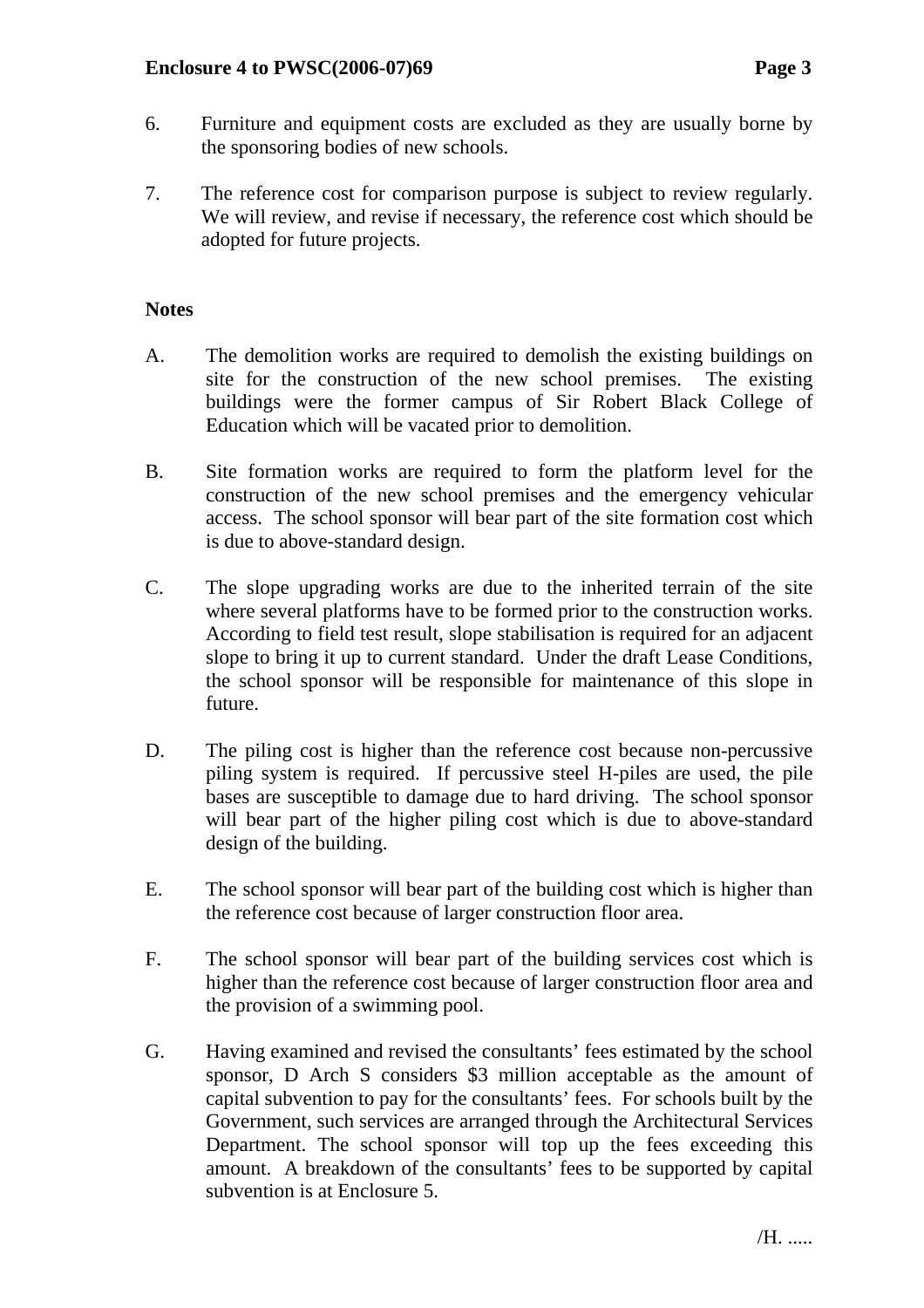- 6. Furniture and equipment costs are excluded as they are usually borne by the sponsoring bodies of new schools.
- 7. The reference cost for comparison purpose is subject to review regularly. We will review, and revise if necessary, the reference cost which should be adopted for future projects.

# **Notes**

- A. The demolition works are required to demolish the existing buildings on site for the construction of the new school premises. The existing buildings were the former campus of Sir Robert Black College of Education which will be vacated prior to demolition.
- B. Site formation works are required to form the platform level for the construction of the new school premises and the emergency vehicular access. The school sponsor will bear part of the site formation cost which is due to above-standard design.
- C. The slope upgrading works are due to the inherited terrain of the site where several platforms have to be formed prior to the construction works. According to field test result, slope stabilisation is required for an adjacent slope to bring it up to current standard. Under the draft Lease Conditions, the school sponsor will be responsible for maintenance of this slope in future.
- D. The piling cost is higher than the reference cost because non-percussive piling system is required. If percussive steel H-piles are used, the pile bases are susceptible to damage due to hard driving. The school sponsor will bear part of the higher piling cost which is due to above-standard design of the building.
- E. The school sponsor will bear part of the building cost which is higher than the reference cost because of larger construction floor area.
- F. The school sponsor will bear part of the building services cost which is higher than the reference cost because of larger construction floor area and the provision of a swimming pool.
- G. Having examined and revised the consultants' fees estimated by the school sponsor, D Arch S considers \$3 million acceptable as the amount of capital subvention to pay for the consultants' fees. For schools built by the Government, such services are arranged through the Architectural Services Department. The school sponsor will top up the fees exceeding this amount. A breakdown of the consultants' fees to be supported by capital subvention is at Enclosure 5.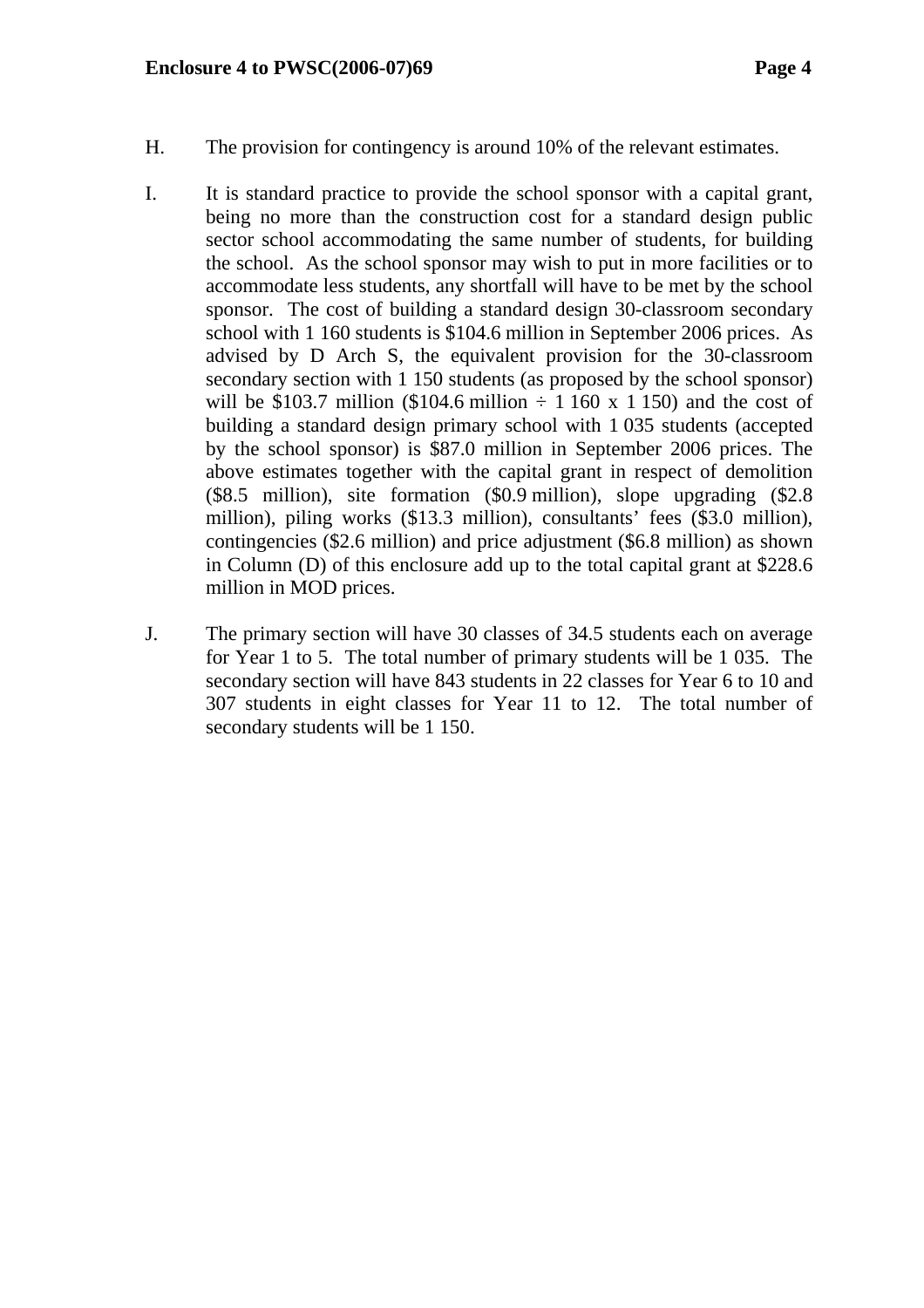- H. The provision for contingency is around 10% of the relevant estimates.
- I. It is standard practice to provide the school sponsor with a capital grant, being no more than the construction cost for a standard design public sector school accommodating the same number of students, for building the school. As the school sponsor may wish to put in more facilities or to accommodate less students, any shortfall will have to be met by the school sponsor. The cost of building a standard design 30-classroom secondary school with 1 160 students is \$104.6 million in September 2006 prices. As advised by D Arch S, the equivalent provision for the 30-classroom secondary section with 1 150 students (as proposed by the school sponsor) will be \$103.7 million (\$104.6 million  $\div$  1 160 x 1 150) and the cost of building a standard design primary school with 1 035 students (accepted by the school sponsor) is \$87.0 million in September 2006 prices. The above estimates together with the capital grant in respect of demolition (\$8.5 million), site formation (\$0.9 million), slope upgrading (\$2.8 million), piling works (\$13.3 million), consultants' fees (\$3.0 million), contingencies (\$2.6 million) and price adjustment (\$6.8 million) as shown in Column (D) of this enclosure add up to the total capital grant at \$228.6 million in MOD prices.
- J. The primary section will have 30 classes of 34.5 students each on average for Year 1 to 5. The total number of primary students will be 1 035. The secondary section will have 843 students in 22 classes for Year 6 to 10 and 307 students in eight classes for Year 11 to 12. The total number of secondary students will be 1 150.